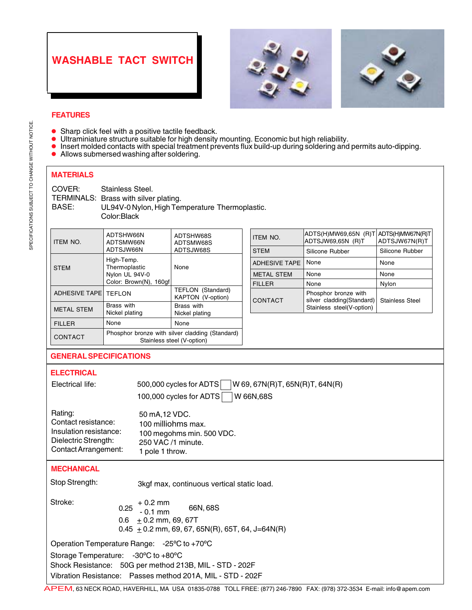## **WASHABLE TACT SWITCH**





## **FEATURES**

- $\bullet$ Sharp click feel with a positive tactile feedback.
- $\bullet$ Ultraminiature structure suitable for high density mounting. Economic but high reliability.
- $\bullet$ Insert molded contacts with special treatment prevents flux build-up during soldering and permits auto-dipping.
- $\bullet$ Allows submersed washing after soldering.

## **MATERIALS**

| Stainless Steel.                               |
|------------------------------------------------|
| TERMINALS: Brass with silver plating.          |
| UL94V-0 Nylon, High Temperature Thermoplastic. |
| Color:Black                                    |
|                                                |

| <b>ITEM NO.</b>               | ADTSHW66N<br>ADTSMW66N                                                        | ADTSHW68S<br>ADTSMW68S                 | <b>ITEM NO.</b>      | ADTS(H)MW69,65N (R)T ADTS(H)MW67N(R)T<br>ADTSJW69,65N (R)T | ADTSJW67N(R)T          |
|-------------------------------|-------------------------------------------------------------------------------|----------------------------------------|----------------------|------------------------------------------------------------|------------------------|
|                               | ADTSJW66N                                                                     | ADTSJW68S                              | <b>STEM</b>          | Silicone Rubber                                            | Silicone Rubber        |
| <b>STEM</b>                   | High-Temp.<br>Thermoplastic                                                   | None                                   | <b>ADHESIVE TAPE</b> | None                                                       | None                   |
|                               | Nylon UL 94V-0                                                                |                                        | <b>METAL STEM</b>    | None                                                       | None                   |
|                               | Color: Brown(N), 160qf                                                        |                                        | <b>FILLER</b>        | None                                                       | Nylon                  |
| <b>ADHESIVE TAPE   TEFLON</b> |                                                                               | TEFLON (Standard)<br>KAPTON (V-option) | <b>CONTACT</b>       | Phosphor bronze with<br>silver cladding(Standard)          | <b>Stainless Steel</b> |
| <b>METAL STEM</b>             | Brass with<br>Nickel plating                                                  | Brass with<br>Nickel plating           |                      | Stainless steel(V-option)                                  |                        |
| <b>FILLER</b>                 | None                                                                          | None                                   |                      |                                                            |                        |
| CONTACT                       | Phosphor bronze with silver cladding (Standard)<br>Stainless steel (V-option) |                                        |                      |                                                            |                        |

## **GENERAL SPECIFICATIONS**

| <b>ELECTRICAL</b><br>Electrical life:                                                                    | W 69, 67N(R)T, 65N(R)T, 64N(R)<br>500,000 cycles for ADTS<br>100,000 cycles for ADTS<br>W 66N,68S                     |  |  |  |
|----------------------------------------------------------------------------------------------------------|-----------------------------------------------------------------------------------------------------------------------|--|--|--|
| Rating:<br>Contact resistance:<br>Insulation resistance:<br>Dielectric Strength:<br>Contact Arrangement: | 50 mA, 12 VDC.<br>100 milliohms max.<br>100 megohms min. 500 VDC.<br>250 VAC /1 minute.<br>1 pole 1 throw.            |  |  |  |
| <b>MECHANICAL</b>                                                                                        |                                                                                                                       |  |  |  |
| Stop Strength:                                                                                           | 3kgf max, continuous vertical static load.                                                                            |  |  |  |
| Stroke:<br>0.25<br>0.6                                                                                   | $+0.2$ mm<br>66N, 68S<br>$-0.1$ mm<br>$+0.2$ mm, 69, 67T<br>0.45 $\pm$ 0.2 mm, 69, 67, 65N(R), 65T, 64, J=64N(R)      |  |  |  |
| Operation Temperature Range: -25°C to +70°C                                                              |                                                                                                                       |  |  |  |
| Storage Temperature: -30°C to +80°C<br><b>DEAL</b> ----------                                            | Shock Resistance: 50G per method 213B, MIL - STD - 202F<br>Vibration Resistance: Passes method 201A, MIL - STD - 202F |  |  |  |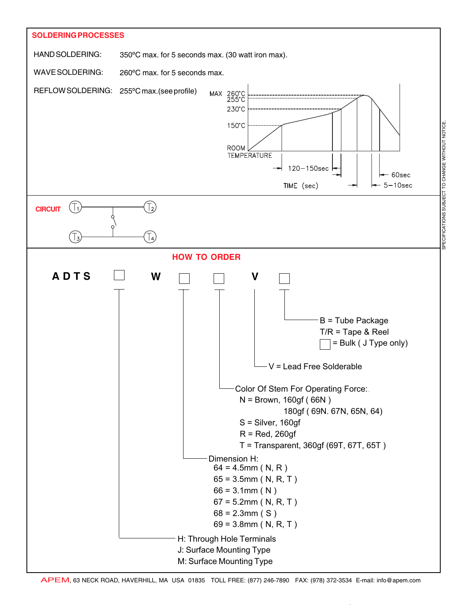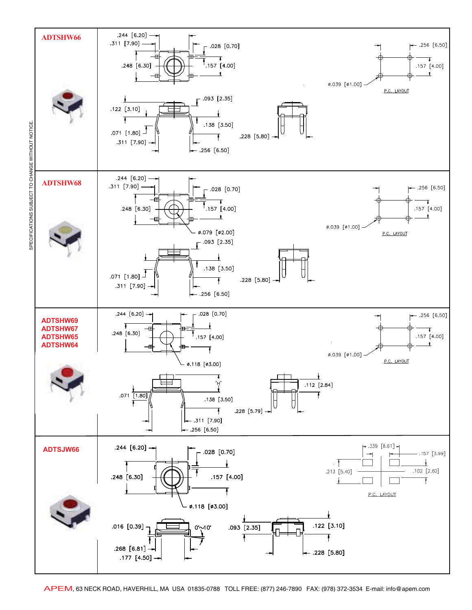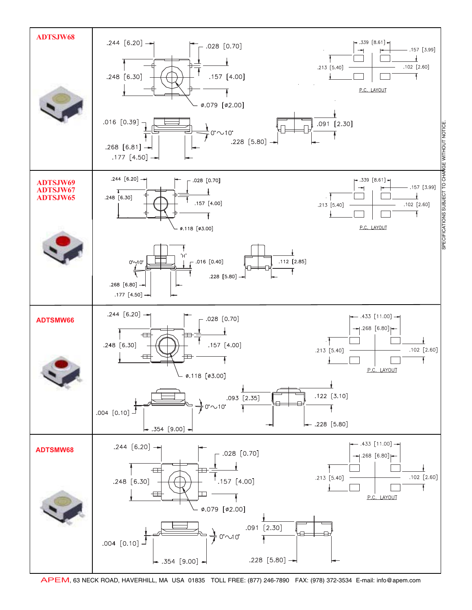

APEM, 63 NECK ROAD, HAVERHILL, MA USA 01835 TOLL FREE: (877) 246-7890 FAX: (978) 372-3534 E-mail: info@apem.com